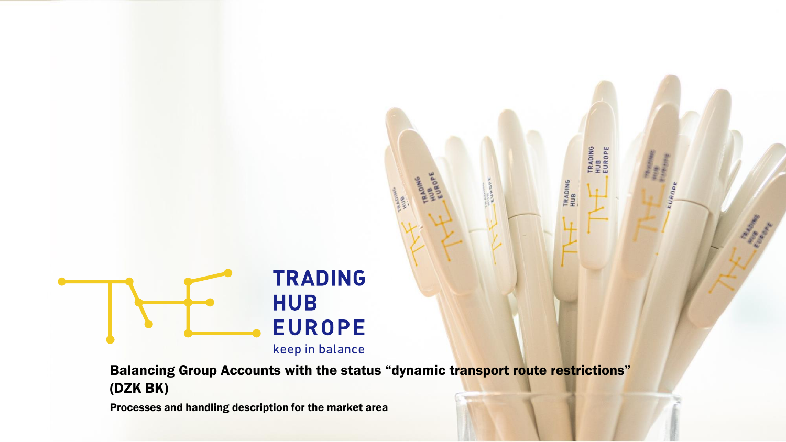

Balancing Group Accounts with the status "dynamic transport route restrictions" (DZK BK)

**TRADING<br>HUB<br>EUROPE** 

TRADING<br>HUB

| Processes and handling description for the market area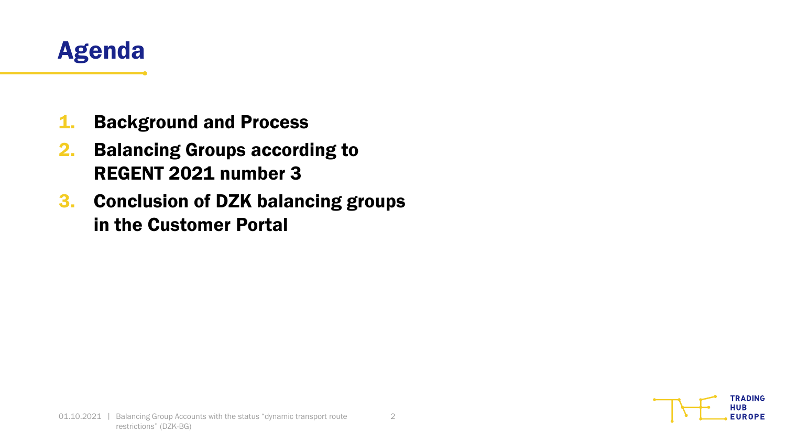

- 1. Background and Process
- 2. Balancing Groups according to REGENT 2021 number 3
- 3. Conclusion of DZK balancing groups in the Customer Portal

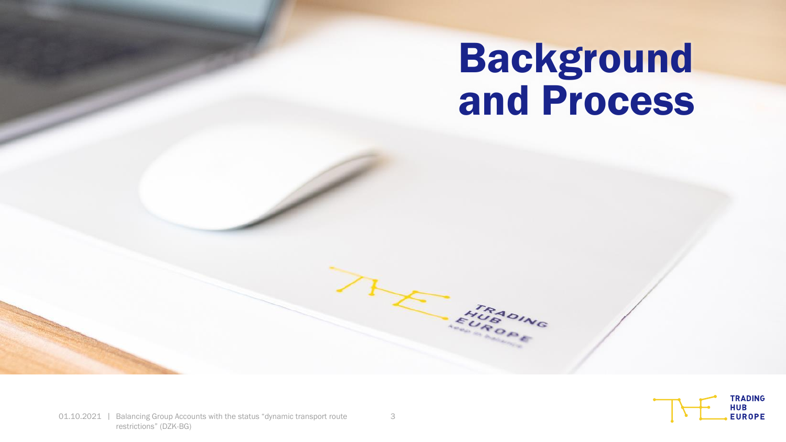# Background and Process



FUROPHE

 $>_{R}$ 

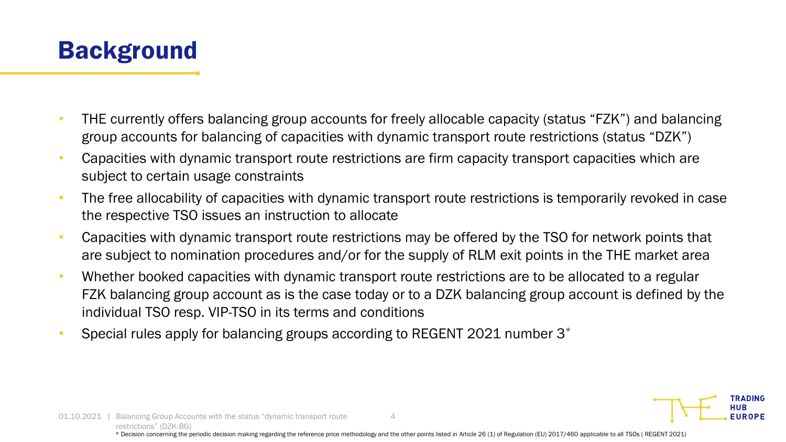

- THE currently offers balancing group accounts for freely allocable capacity (status "FZK") and balancing group accounts for balancing of capacities with dynamic transport route restrictions (status "DZK")
- Capacities with dynamic transport route restrictions are firm capacity transport capacities which are subject to certain usage constraints
- The free allocability of capacities with dynamic transport route restrictions is temporarily revoked in case the respective TSO issues an instruction to allocate
- Capacities with dynamic transport route restrictions may be offered by the TSO for network points that are subject to nomination procedures and/or for the supply of RLM exit points in the THE market area
- Whether booked capacities with dynamic transport route restrictions are to be allocated to a regular FZK balancing group account as is the case today or to a DZK balancing group account is defined by the individual TSO resp. VIP-TSO in its terms and conditions
- Special rules apply for balancing groups according to REGENT 2021 number 3\*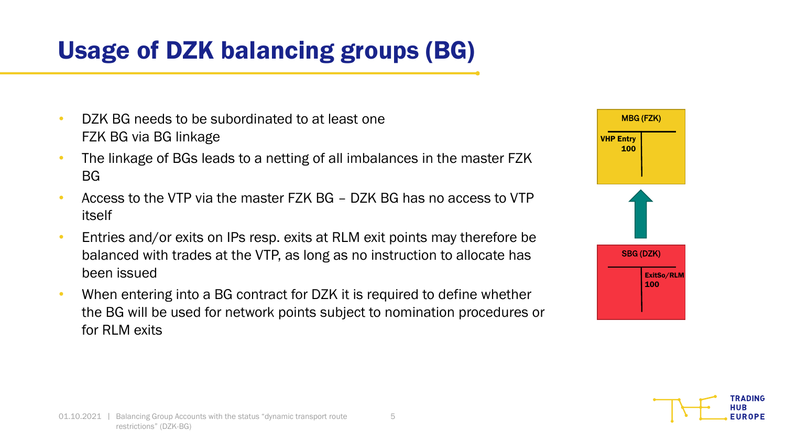### Usage of DZK balancing groups (BG)

- DZK BG needs to be subordinated to at least one FZK BG via BG linkage
- The linkage of BGs leads to a netting of all imbalances in the master FZK BG
- Access to the VTP via the master FZK BG DZK BG has no access to VTP itself
- Entries and/or exits on IPs resp. exits at RLM exit points may therefore be balanced with trades at the VTP, as long as no instruction to allocate has been issued
- When entering into a BG contract for DZK it is required to define whether the BG will be used for network points subject to nomination procedures or for RLM exits



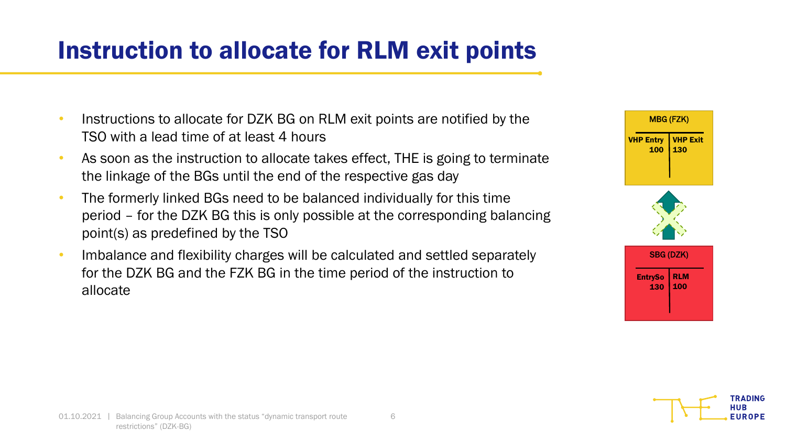#### Instruction to allocate for RLM exit points

- Instructions to allocate for DZK BG on RLM exit points are notified by the TSO with a lead time of at least 4 hours
- As soon as the instruction to allocate takes effect, THE is going to terminate the linkage of the BGs until the end of the respective gas day
- The formerly linked BGs need to be balanced individually for this time period – for the DZK BG this is only possible at the corresponding balancing point(s) as predefined by the TSO
- Imbalance and flexibility charges will be calculated and settled separately for the DZK BG and the FZK BG in the time period of the instruction to allocate



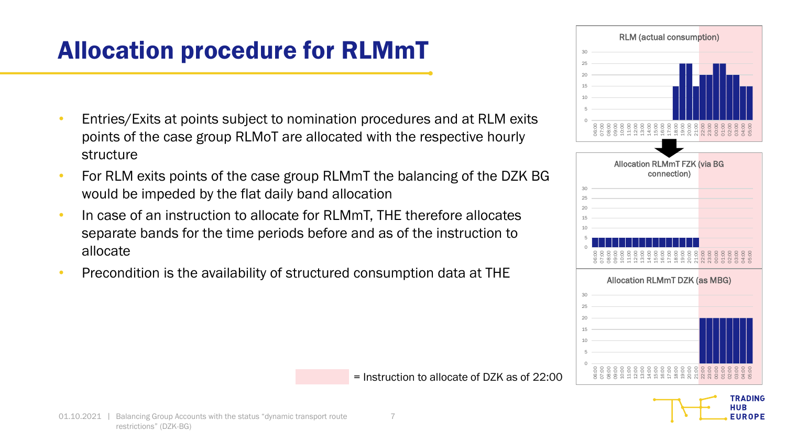### Allocation procedure for RLMmT

- Entries/Exits at points subject to nomination procedures and at RLM exits points of the case group RLMoT are allocated with the respective hourly structure
- For RLM exits points of the case group RLMmT the balancing of the DZK BG would be impeded by the flat daily band allocation
- In case of an instruction to allocate for RLMmT, THE therefore allocates separate bands for the time periods before and as of the instruction to allocate
- Precondition is the availability of structured consumption data at THE



**TRADING HUB EUROPE** 

= Instruction to allocate of DZK as of 22:00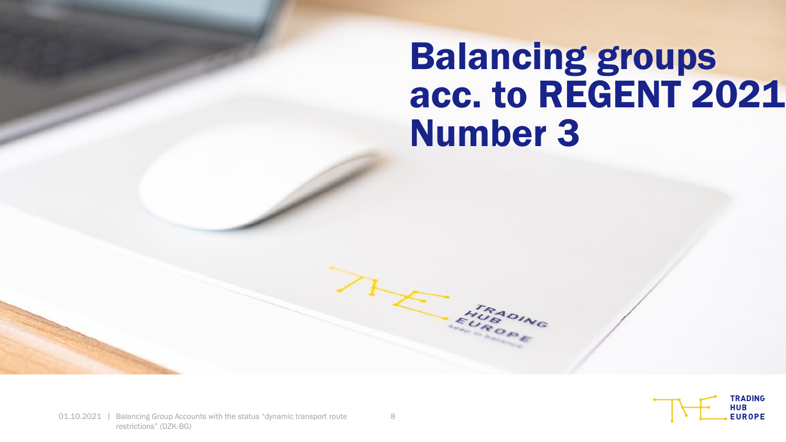## Balancing groups acc. to REGENT 2021 Number 3



FURSOING

72

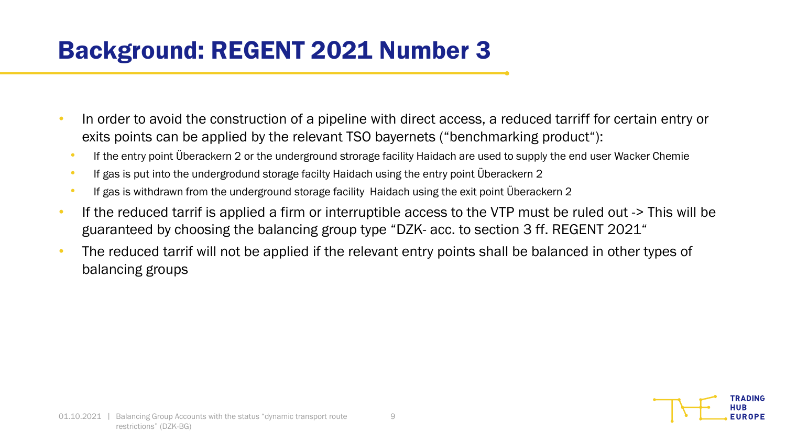### Background: REGENT 2021 Number 3

- In order to avoid the construction of a pipeline with direct access, a reduced tarriff for certain entry or exits points can be applied by the relevant TSO bayernets ("benchmarking product"):
	- If the entry point Überackern 2 or the underground strorage facility Haidach are used to supply the end user Wacker Chemie
	- If gas is put into the undergrodund storage facilty Haidach using the entry point Überackern 2
	- If gas is withdrawn from the underground storage facility Haidach using the exit point Überackern 2
- If the reduced tarrif is applied a firm or interruptible access to the VTP must be ruled out -> This will be guaranteed by choosing the balancing group type "DZK- acc. to section 3 ff. REGENT 2021"
- The reduced tarrif will not be applied if the relevant entry points shall be balanced in other types of balancing groups

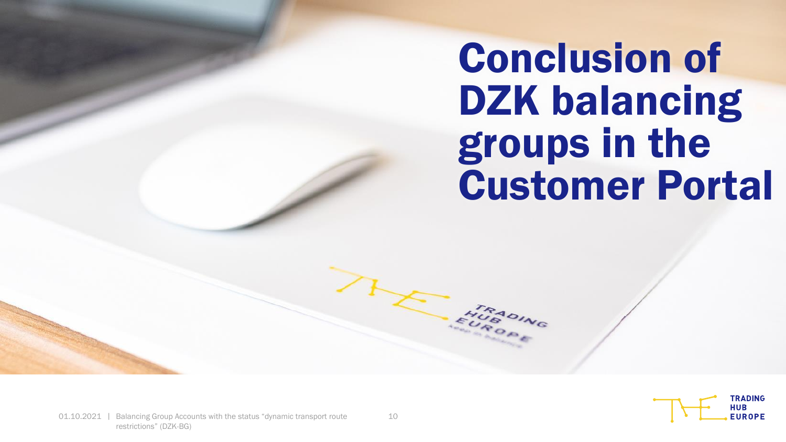Conclusion of DZK balancing groups in the Customer Portal



EUROPNS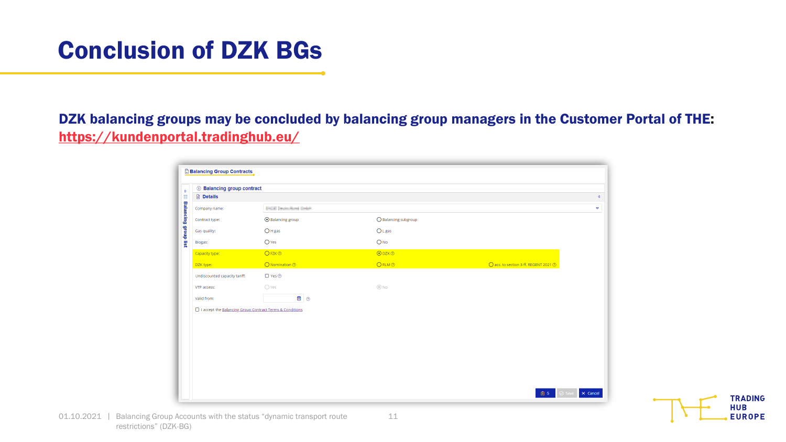#### Conclusion of DZK BGs

DZK balancing groups may be concluded by balancing group managers in the Customer Portal of THE: <https://kundenportal.tradinghub.eu/>

| <b>1</b> Balancing group contract                          |                              |                      |                                       |
|------------------------------------------------------------|------------------------------|----------------------|---------------------------------------|
| <b>Details</b>                                             |                              |                      |                                       |
| Company name:                                              | <b>ENDED Hutchband Dates</b> |                      |                                       |
| Contract type:                                             | ⊙ Balancing group            | ○ Balancing subgroup |                                       |
| Gas quality:                                               | $O$ H gas                    | $O$ L gas            |                                       |
| Biogas:                                                    | $O$ Yes                      | $O$ No               |                                       |
| Capacity type:                                             | $O$ FZK $\odot$              | $O$ DZK $O$          |                                       |
| DZK type:                                                  | O Nomination <sup>®</sup>    | ORLM <sup>®</sup>    | O acc. to section 3 ff. REGENT 2021 2 |
| Undiscounted capacity tariff:                              | $\Box$ Yes $\odot$           |                      |                                       |
| VTP access:                                                | ○ Yes                        | @N0                  |                                       |
| Valid from:                                                | ■ ②                          |                      |                                       |
| □ I accept the Balancing Group Contract Terms & Conditions |                              |                      |                                       |
|                                                            |                              |                      |                                       |
|                                                            |                              |                      |                                       |
|                                                            |                              |                      |                                       |
|                                                            |                              |                      |                                       |
|                                                            |                              |                      |                                       |
|                                                            |                              |                      |                                       |
|                                                            |                              |                      |                                       |

11

**TRADING HUB EUROPE**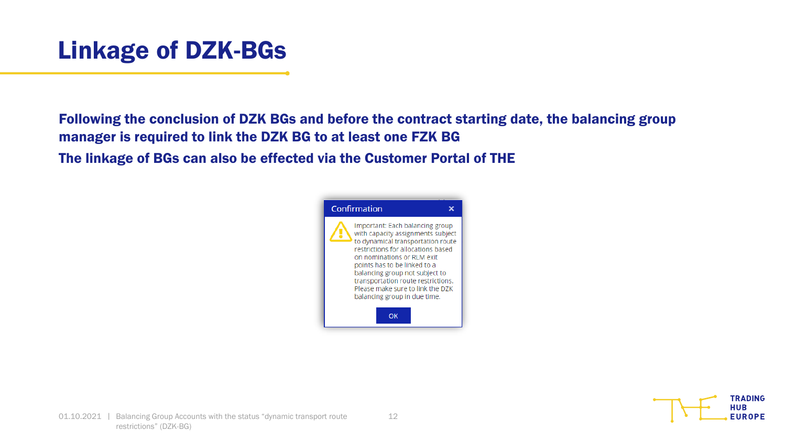

Following the conclusion of DZK BGs and before the contract starting date, the balancing group manager is required to link the DZK BG to at least one FZK BG

The linkage of BGs can also be effected via the Customer Portal of THE



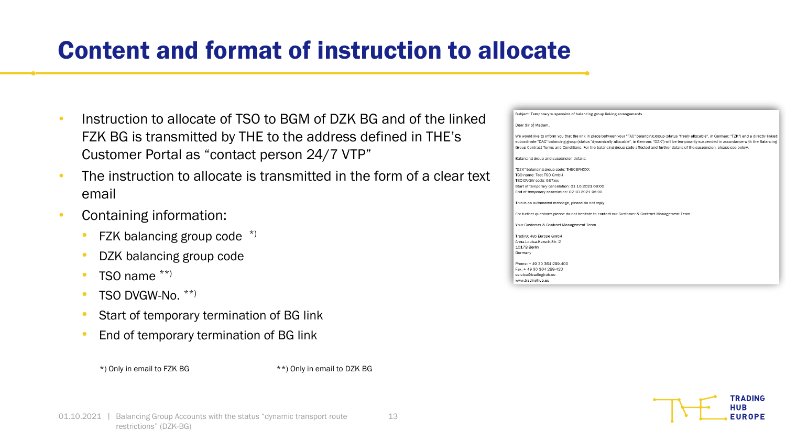#### Content and format of instruction to allocate

- Instruction to allocate of TSO to BGM of DZK BG and of the linked FZK BG is transmitted by THE to the address defined in THE's Customer Portal as "contact person 24/7 VTP"
- The instruction to allocate is transmitted in the form of a clear text email
- Containing information:
	- FZK balancing group code  $*$ )
	- DZK balancing group code
	- TSO name  $**$ )
	- TSO DVGW-No. \*\*)
	- Start of temporary termination of BG link
	- End of temporary termination of BG link



\*) Only in email to FZK BG \*\*) Only in email to DZK BG

| Dear Sir or Madam, |                                                                                                                                                           |
|--------------------|-----------------------------------------------------------------------------------------------------------------------------------------------------------|
|                    | We would like to inform you that the link in place between your "FAC" balancing group (status "freely allocable", in German: "FZK") and a directly linked |
|                    | subordinate "DAC" balancing group (status "dynamically allocable", in German: "DZK") will be temporarily suspended in accordance with the Balancing       |
|                    | Group Contract Terms and Conditions. For the balancing group code affected and further details of the suspension, please see below.                       |
|                    | Balancing group and suspension details:                                                                                                                   |
|                    | "DZK" balancing group code: THEOBFHXXX                                                                                                                    |
|                    | TSO name: Test TSO GmbH                                                                                                                                   |
|                    | TSO DVGW code: 987xxx                                                                                                                                     |
|                    | Start of temporary cancelation: 01.10.2021 09:00                                                                                                          |
|                    | End of temporary cancelation: 02.10.2021 06:00                                                                                                            |
|                    | This is an automated message, please do not reply.                                                                                                        |
|                    | For further questions please do not hesitate to contact our Customer & Contract Management Team.                                                          |
|                    | Your Customer & Contract Management Team                                                                                                                  |
|                    | Trading Hub Europe GmbH                                                                                                                                   |
|                    | Anna-Louisa-Karsch-Str. 2                                                                                                                                 |
| 10178 Berlin       |                                                                                                                                                           |
| Germany            |                                                                                                                                                           |
|                    | Phone: +49 30 364 289-400                                                                                                                                 |
|                    | Fax: +49 30 364 289-420                                                                                                                                   |
|                    | service@tradinghub.eu                                                                                                                                     |
| www.tradinghub.eu  |                                                                                                                                                           |

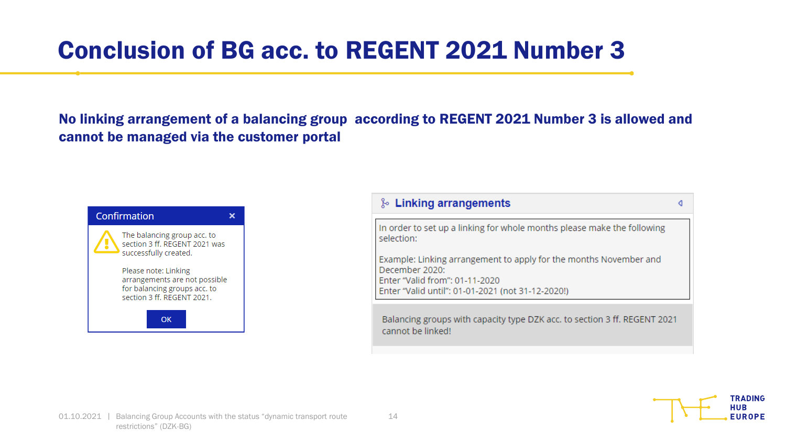#### Conclusion of BG acc. to REGENT 2021 Number 3

No linking arrangement of a balancing group according to REGENT 2021 Number 3 is allowed and cannot be managed via the customer portal



| & Linking arrangements                                                                                                                                                     |  |
|----------------------------------------------------------------------------------------------------------------------------------------------------------------------------|--|
| In order to set up a linking for whole months please make the following<br>selection:                                                                                      |  |
| Example: Linking arrangement to apply for the months November and<br>December 2020:<br>Enter "Valid from": 01-11-2020<br>Enter "Valid until": 01-01-2021 (not 31-12-2020!) |  |
| Balancing groups with capacity type DZK acc. to section 3 ff. REGENT 2021                                                                                                  |  |



cannot be linked!